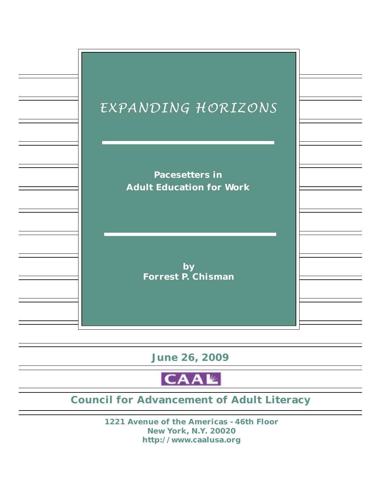

**June 26, 2009**

CAAL

# **Council for Advancement of Adult Literacy**

**1221 Avenue of the Americas - 46th Floor New York, N.Y. 20020 http://www.caalusa.org**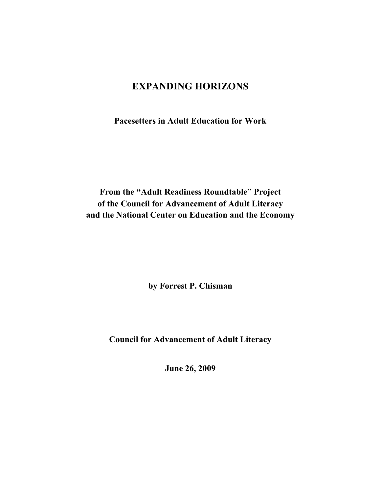# **EXPANDING HORIZONS**

**Pacesetters in Adult Education for Work**

**From the "Adult Readiness Roundtable" Project of the Council for Advancement of Adult Literacy and the National Center on Education and the Economy**

**by Forrest P. Chisman**

**Council for Advancement of Adult Literacy**

**June 26, 2009**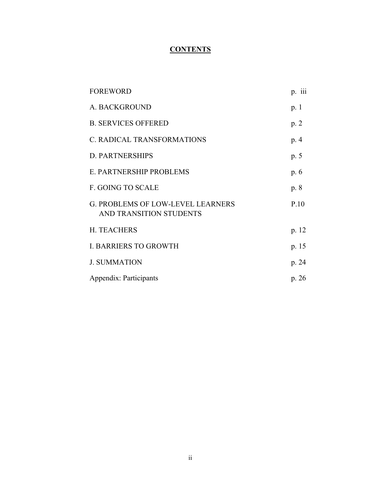# **CONTENTS**

| <b>FOREWORD</b>                                                     | p. 111 |
|---------------------------------------------------------------------|--------|
| A. BACKGROUND                                                       | p. 1   |
| <b>B. SERVICES OFFERED</b>                                          | p.2    |
| C. RADICAL TRANSFORMATIONS                                          | p. 4   |
| <b>D. PARTNERSHIPS</b>                                              | p. 5   |
| E. PARTNERSHIP PROBLEMS                                             | p. 6   |
| <b>F. GOING TO SCALE</b>                                            | p. 8   |
| <b>G. PROBLEMS OF LOW-LEVEL LEARNERS</b><br>AND TRANSITION STUDENTS | P.10   |
| <b>H. TEACHERS</b>                                                  | p. 12  |
| <b>I. BARRIERS TO GROWTH</b>                                        | p. 15  |
| <b>J. SUMMATION</b>                                                 | p. 24  |
| Appendix: Participants                                              | p. 26  |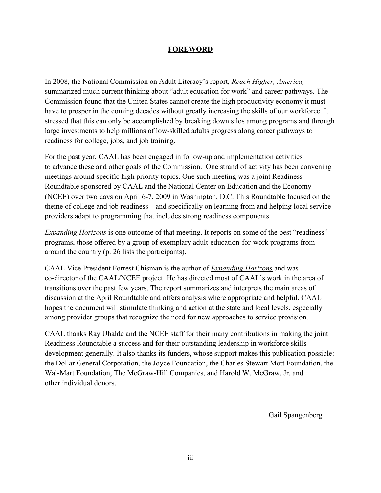#### **FOREWORD**

In 2008, the National Commission on Adult Literacy's report, *Reach Higher, America,* summarized much current thinking about "adult education for work" and career pathways. The Commission found that the United States cannot create the high productivity economy it must have to prosper in the coming decades without greatly increasing the skills of our workforce. It stressed that this can only be accomplished by breaking down silos among programs and through large investments to help millions of low-skilled adults progress along career pathways to readiness for college, jobs, and job training.

For the past year, CAAL has been engaged in follow-up and implementation activities to advance these and other goals of the Commission. One strand of activity has been convening meetings around specific high priority topics. One such meeting was a joint Readiness Roundtable sponsored by CAAL and the National Center on Education and the Economy (NCEE) over two days on April 6-7, 2009 in Washington, D.C. This Roundtable focused on the theme of college and job readiness – and specifically on learning from and helping local service providers adapt to programming that includes strong readiness components.

*Expanding Horizons* is one outcome of that meeting. It reports on some of the best "readiness" programs, those offered by a group of exemplary adult-education-for-work programs from around the country (p. 26 lists the participants).

CAAL Vice President Forrest Chisman is the author of *Expanding Horizons* and was co-director of the CAAL/NCEE project. He has directed most of CAAL's work in the area of transitions over the past few years. The report summarizes and interprets the main areas of discussion at the April Roundtable and offers analysis where appropriate and helpful. CAAL hopes the document will stimulate thinking and action at the state and local levels, especially among provider groups that recognize the need for new approaches to service provision.

CAAL thanks Ray Uhalde and the NCEE staff for their many contributions in making the joint Readiness Roundtable a success and for their outstanding leadership in workforce skills development generally. It also thanks its funders, whose support makes this publication possible: the Dollar General Corporation, the Joyce Foundation, the Charles Stewart Mott Foundation, the Wal-Mart Foundation, The McGraw-Hill Companies, and Harold W. McGraw, Jr. and other individual donors.

Gail Spangenberg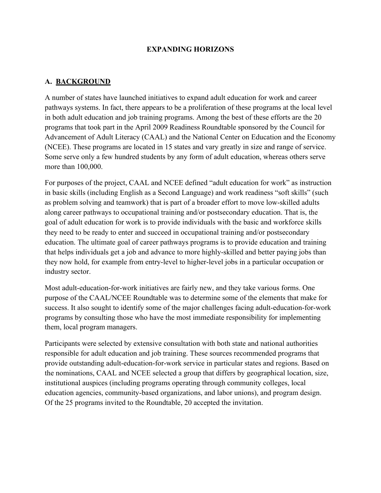#### **EXPANDING HORIZONS**

#### **A. BACKGROUND**

A number of states have launched initiatives to expand adult education for work and career pathways systems. In fact, there appears to be a proliferation of these programs at the local level in both adult education and job training programs. Among the best of these efforts are the 20 programs that took part in the April 2009 Readiness Roundtable sponsored by the Council for Advancement of Adult Literacy (CAAL) and the National Center on Education and the Economy (NCEE). These programs are located in 15 states and vary greatly in size and range of service. Some serve only a few hundred students by any form of adult education, whereas others serve more than 100,000.

For purposes of the project, CAAL and NCEE defined "adult education for work" as instruction in basic skills (including English as a Second Language) and work readiness "soft skills" (such as problem solving and teamwork) that is part of a broader effort to move low-skilled adults along career pathways to occupational training and/or postsecondary education. That is, the goal of adult education for work is to provide individuals with the basic and workforce skills they need to be ready to enter and succeed in occupational training and/or postsecondary education. The ultimate goal of career pathways programs is to provide education and training that helps individuals get a job and advance to more highly-skilled and better paying jobs than they now hold, for example from entry-level to higher-level jobs in a particular occupation or industry sector.

Most adult-education-for-work initiatives are fairly new, and they take various forms. One purpose of the CAAL/NCEE Roundtable was to determine some of the elements that make for success. It also sought to identify some of the major challenges facing adult-education-for-work programs by consulting those who have the most immediate responsibility for implementing them, local program managers.

Participants were selected by extensive consultation with both state and national authorities responsible for adult education and job training. These sources recommended programs that provide outstanding adult-education-for-work service in particular states and regions. Based on the nominations, CAAL and NCEE selected a group that differs by geographical location, size, institutional auspices (including programs operating through community colleges, local education agencies, community-based organizations, and labor unions), and program design. Of the 25 programs invited to the Roundtable, 20 accepted the invitation.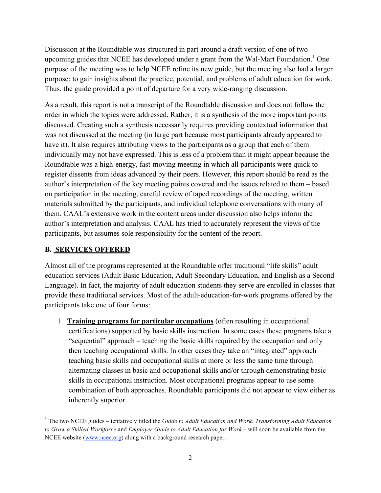Discussion at the Roundtable was structured in part around a draft version of one of two upcoming guides that NCEE has developed under a grant from the Wal-Mart Foundation.<sup>1</sup> One purpose of the meeting was to help NCEE refine its new guide, but the meeting also had a larger purpose: to gain insights about the practice, potential, and problems of adult education for work. Thus, the guide provided a point of departure for a very wide-ranging discussion.

As a result, this report is not a transcript of the Roundtable discussion and does not follow the order in which the topics were addressed. Rather, it is a synthesis of the more important points discussed. Creating such a synthesis necessarily requires providing contextual information that was not discussed at the meeting (in large part because most participants already appeared to have it). It also requires attributing views to the participants as a group that each of them individually may not have expressed. This is less of a problem than it might appear because the Roundtable was a high-energy, fast-moving meeting in which all participants were quick to register dissents from ideas advanced by their peers. However, this report should be read as the author's interpretation of the key meeting points covered and the issues related to them – based on participation in the meeting, careful review of taped recordings of the meeting, written materials submitted by the participants, and individual telephone conversations with many of them. CAAL's extensive work in the content areas under discussion also helps inform the author's interpretation and analysis. CAAL has tried to accurately represent the views of the participants, but assumes sole responsibility for the content of the report.

### **B. SERVICES OFFERED**

Almost all of the programs represented at the Roundtable offer traditional "life skills" adult education services (Adult Basic Education, Adult Secondary Education, and English as a Second Language). In fact, the majority of adult education students they serve are enrolled in classes that provide these traditional services. Most of the adult-education-for-work programs offered by the participants take one of four forms:

1. **Training programs for particular occupations** (often resulting in occupational certifications) supported by basic skills instruction. In some cases these programs take a "sequential" approach – teaching the basic skills required by the occupation and only then teaching occupational skills. In other cases they take an "integrated" approach – teaching basic skills and occupational skills at more or less the same time through alternating classes in basic and occupational skills and/or through demonstrating basic skills in occupational instruction. Most occupational programs appear to use some combination of both approaches. Roundtable participants did not appear to view either as inherently superior.

 <sup>1</sup> The two NCEE guides – tentatively titled the *Guide to Adult Education and Work: Transforming Adult Education to Grow a Skilled Workforce* and *Employer Guide to Adult Education for Work* – will soon be available from the NCEE website (www.ncee.org) along with a background research paper.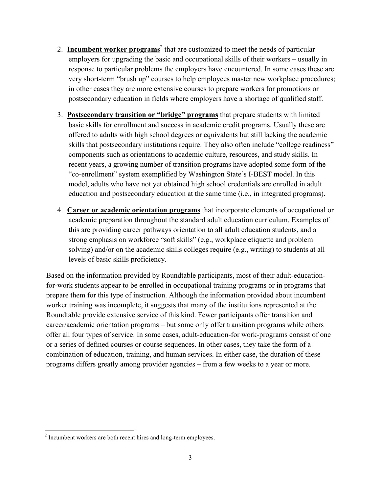- 2. **Incumbent worker programs**<sup>2</sup> that are customized to meet the needs of particular employers for upgrading the basic and occupational skills of their workers – usually in response to particular problems the employers have encountered. In some cases these are very short-term "brush up" courses to help employees master new workplace procedures; in other cases they are more extensive courses to prepare workers for promotions or postsecondary education in fields where employers have a shortage of qualified staff.
- 3. **Postsecondary transition or "bridge" programs** that prepare students with limited basic skills for enrollment and success in academic credit programs. Usually these are offered to adults with high school degrees or equivalents but still lacking the academic skills that postsecondary institutions require. They also often include "college readiness" components such as orientations to academic culture, resources, and study skills. In recent years, a growing number of transition programs have adopted some form of the "co-enrollment" system exemplified by Washington State's I-BEST model. In this model, adults who have not yet obtained high school credentials are enrolled in adult education and postsecondary education at the same time (i.e., in integrated programs).
- 4. **Career or academic orientation programs** that incorporate elements of occupational or academic preparation throughout the standard adult education curriculum. Examples of this are providing career pathways orientation to all adult education students, and a strong emphasis on workforce "soft skills" (e.g., workplace etiquette and problem solving) and/or on the academic skills colleges require (e.g., writing) to students at all levels of basic skills proficiency.

Based on the information provided by Roundtable participants, most of their adult-educationfor-work students appear to be enrolled in occupational training programs or in programs that prepare them for this type of instruction. Although the information provided about incumbent worker training was incomplete, it suggests that many of the institutions represented at the Roundtable provide extensive service of this kind. Fewer participants offer transition and career/academic orientation programs – but some only offer transition programs while others offer all four types of service. In some cases, adult-education-for work-programs consist of one or a series of defined courses or course sequences. In other cases, they take the form of a combination of education, training, and human services. In either case, the duration of these programs differs greatly among provider agencies – from a few weeks to a year or more.

<sup>&</sup>lt;sup>2</sup> Incumbent workers are both recent hires and long-term employees.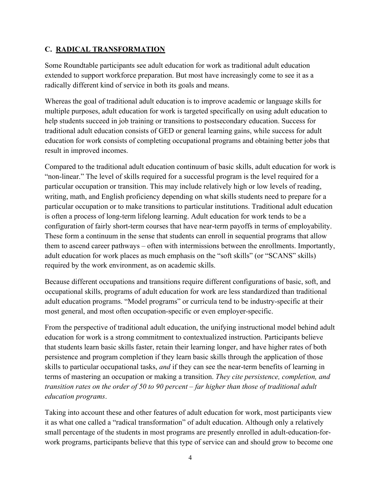#### **C. RADICAL TRANSFORMATION**

Some Roundtable participants see adult education for work as traditional adult education extended to support workforce preparation. But most have increasingly come to see it as a radically different kind of service in both its goals and means.

Whereas the goal of traditional adult education is to improve academic or language skills for multiple purposes, adult education for work is targeted specifically on using adult education to help students succeed in job training or transitions to postsecondary education. Success for traditional adult education consists of GED or general learning gains, while success for adult education for work consists of completing occupational programs and obtaining better jobs that result in improved incomes.

Compared to the traditional adult education continuum of basic skills, adult education for work is "non-linear." The level of skills required for a successful program is the level required for a particular occupation or transition. This may include relatively high or low levels of reading, writing, math, and English proficiency depending on what skills students need to prepare for a particular occupation or to make transitions to particular institutions. Traditional adult education is often a process of long-term lifelong learning. Adult education for work tends to be a configuration of fairly short-term courses that have near-term payoffs in terms of employability. These form a continuum in the sense that students can enroll in sequential programs that allow them to ascend career pathways – often with intermissions between the enrollments. Importantly, adult education for work places as much emphasis on the "soft skills" (or "SCANS" skills) required by the work environment, as on academic skills.

Because different occupations and transitions require different configurations of basic, soft, and occupational skills, programs of adult education for work are less standardized than traditional adult education programs. "Model programs" or curricula tend to be industry-specific at their most general, and most often occupation-specific or even employer-specific.

From the perspective of traditional adult education, the unifying instructional model behind adult education for work is a strong commitment to contextualized instruction. Participants believe that students learn basic skills faster, retain their learning longer, and have higher rates of both persistence and program completion if they learn basic skills through the application of those skills to particular occupational tasks, *and* if they can see the near-term benefits of learning in terms of mastering an occupation or making a transition. *They cite persistence, completion, and transition rates on the order of 50 to 90 percent – far higher than those of traditional adult education programs*.

Taking into account these and other features of adult education for work, most participants view it as what one called a "radical transformation" of adult education. Although only a relatively small percentage of the students in most programs are presently enrolled in adult-education-forwork programs, participants believe that this type of service can and should grow to become one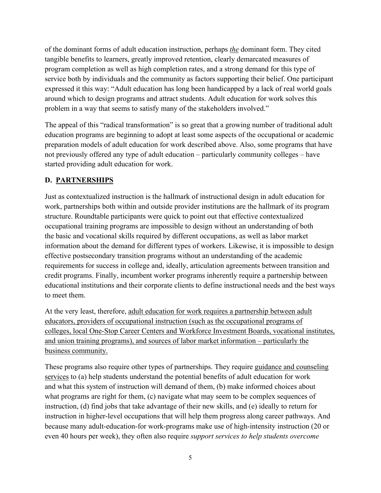of the dominant forms of adult education instruction, perhaps *the* dominant form. They cited tangible benefits to learners, greatly improved retention, clearly demarcated measures of program completion as well as high completion rates, and a strong demand for this type of service both by individuals and the community as factors supporting their belief. One participant expressed it this way: "Adult education has long been handicapped by a lack of real world goals around which to design programs and attract students. Adult education for work solves this problem in a way that seems to satisfy many of the stakeholders involved."

The appeal of this "radical transformation" is so great that a growing number of traditional adult education programs are beginning to adopt at least some aspects of the occupational or academic preparation models of adult education for work described above. Also, some programs that have not previously offered any type of adult education – particularly community colleges – have started providing adult education for work.

# **D. PARTNERSHIPS**

Just as contextualized instruction is the hallmark of instructional design in adult education for work, partnerships both within and outside provider institutions are the hallmark of its program structure. Roundtable participants were quick to point out that effective contextualized occupational training programs are impossible to design without an understanding of both the basic and vocational skills required by different occupations, as well as labor market information about the demand for different types of workers. Likewise, it is impossible to design effective postsecondary transition programs without an understanding of the academic requirements for success in college and, ideally, articulation agreements between transition and credit programs. Finally, incumbent worker programs inherently require a partnership between educational institutions and their corporate clients to define instructional needs and the best ways to meet them.

At the very least, therefore, adult education for work requires a partnership between adult educators, providers of occupational instruction (such as the occupational programs of colleges, local One-Stop Career Centers and Workforce Investment Boards, vocational institutes, and union training programs), and sources of labor market information – particularly the business community.

These programs also require other types of partnerships. They require guidance and counseling services to (a) help students understand the potential benefits of adult education for work and what this system of instruction will demand of them, (b) make informed choices about what programs are right for them, (c) navigate what may seem to be complex sequences of instruction, (d) find jobs that take advantage of their new skills, and (e) ideally to return for instruction in higher-level occupations that will help them progress along career pathways. And because many adult-education-for work-programs make use of high-intensity instruction (20 or even 40 hours per week), they often also require *support services to help students overcome*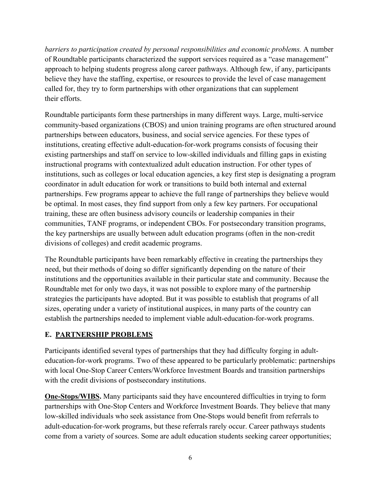*barriers to participation created by personal responsibilities and economic problems.* A number of Roundtable participants characterized the support services required as a "case management" approach to helping students progress along career pathways. Although few, if any, participants believe they have the staffing, expertise, or resources to provide the level of case management called for, they try to form partnerships with other organizations that can supplement their efforts.

Roundtable participants form these partnerships in many different ways. Large, multi-service community-based organizations (CBOS) and union training programs are often structured around partnerships between educators, business, and social service agencies. For these types of institutions, creating effective adult-education-for-work programs consists of focusing their existing partnerships and staff on service to low-skilled individuals and filling gaps in existing instructional programs with contextualized adult education instruction. For other types of institutions, such as colleges or local education agencies, a key first step is designating a program coordinator in adult education for work or transitions to build both internal and external partnerships. Few programs appear to achieve the full range of partnerships they believe would be optimal. In most cases, they find support from only a few key partners. For occupational training, these are often business advisory councils or leadership companies in their communities, TANF programs, or independent CBOs. For postsecondary transition programs, the key partnerships are usually between adult education programs (often in the non-credit divisions of colleges) and credit academic programs.

The Roundtable participants have been remarkably effective in creating the partnerships they need, but their methods of doing so differ significantly depending on the nature of their institutions and the opportunities available in their particular state and community. Because the Roundtable met for only two days, it was not possible to explore many of the partnership strategies the participants have adopted. But it was possible to establish that programs of all sizes, operating under a variety of institutional auspices, in many parts of the country can establish the partnerships needed to implement viable adult-education-for-work programs.

### **E. PARTNERSHIP PROBLEMS**

Participants identified several types of partnerships that they had difficulty forging in adulteducation-for-work programs. Two of these appeared to be particularly problematic: partnerships with local One-Stop Career Centers/Workforce Investment Boards and transition partnerships with the credit divisions of postsecondary institutions.

**One-Stops/WIBS.** Many participants said they have encountered difficulties in trying to form partnerships with One-Stop Centers and Workforce Investment Boards. They believe that many low-skilled individuals who seek assistance from One-Stops would benefit from referrals to adult-education-for-work programs, but these referrals rarely occur. Career pathways students come from a variety of sources. Some are adult education students seeking career opportunities;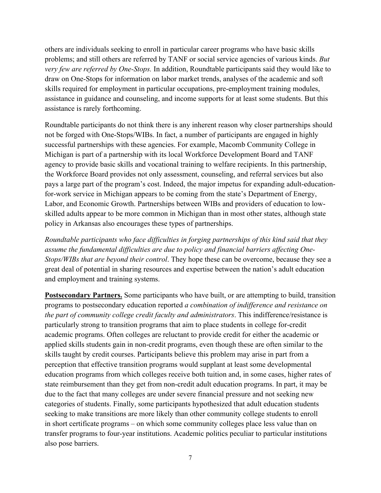others are individuals seeking to enroll in particular career programs who have basic skills problems; and still others are referred by TANF or social service agencies of various kinds. *But very few are referred by One-Stops.* In addition, Roundtable participants said they would like to draw on One-Stops for information on labor market trends, analyses of the academic and soft skills required for employment in particular occupations, pre-employment training modules, assistance in guidance and counseling, and income supports for at least some students. But this assistance is rarely forthcoming.

Roundtable participants do not think there is any inherent reason why closer partnerships should not be forged with One-Stops/WIBs. In fact, a number of participants are engaged in highly successful partnerships with these agencies. For example, Macomb Community College in Michigan is part of a partnership with its local Workforce Development Board and TANF agency to provide basic skills and vocational training to welfare recipients. In this partnership, the Workforce Board provides not only assessment, counseling, and referral services but also pays a large part of the program's cost. Indeed, the major impetus for expanding adult-educationfor-work service in Michigan appears to be coming from the state's Department of Energy, Labor, and Economic Growth. Partnerships between WIBs and providers of education to lowskilled adults appear to be more common in Michigan than in most other states, although state policy in Arkansas also encourages these types of partnerships.

*Roundtable participants who face difficulties in forging partnerships of this kind said that they assume the fundamental difficulties are due to policy and financial barriers affecting One-Stops/WIBs that are beyond their control*. They hope these can be overcome, because they see a great deal of potential in sharing resources and expertise between the nation's adult education and employment and training systems.

**Postsecondary Partners.** Some participants who have built, or are attempting to build, transition programs to postsecondary education reported *a combination of indifference and resistance on the part of community college credit faculty and administrators*. This indifference/resistance is particularly strong to transition programs that aim to place students in college for-credit academic programs. Often colleges are reluctant to provide credit for either the academic or applied skills students gain in non-credit programs, even though these are often similar to the skills taught by credit courses. Participants believe this problem may arise in part from a perception that effective transition programs would supplant at least some developmental education programs from which colleges receive both tuition and, in some cases, higher rates of state reimbursement than they get from non-credit adult education programs. In part, it may be due to the fact that many colleges are under severe financial pressure and not seeking new categories of students. Finally, some participants hypothesized that adult education students seeking to make transitions are more likely than other community college students to enroll in short certificate programs – on which some community colleges place less value than on transfer programs to four-year institutions. Academic politics peculiar to particular institutions also pose barriers.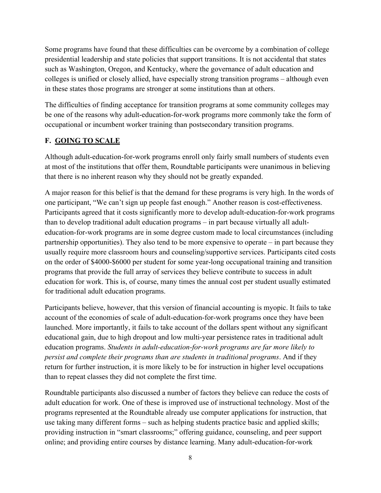Some programs have found that these difficulties can be overcome by a combination of college presidential leadership and state policies that support transitions. It is not accidental that states such as Washington, Oregon, and Kentucky, where the governance of adult education and colleges is unified or closely allied, have especially strong transition programs – although even in these states those programs are stronger at some institutions than at others.

The difficulties of finding acceptance for transition programs at some community colleges may be one of the reasons why adult-education-for-work programs more commonly take the form of occupational or incumbent worker training than postsecondary transition programs.

### **F. GOING TO SCALE**

Although adult-education-for-work programs enroll only fairly small numbers of students even at most of the institutions that offer them, Roundtable participants were unanimous in believing that there is no inherent reason why they should not be greatly expanded.

A major reason for this belief is that the demand for these programs is very high. In the words of one participant, "We can't sign up people fast enough." Another reason is cost-effectiveness. Participants agreed that it costs significantly more to develop adult-education-for-work programs than to develop traditional adult education programs – in part because virtually all adulteducation-for-work programs are in some degree custom made to local circumstances (including partnership opportunities). They also tend to be more expensive to operate – in part because they usually require more classroom hours and counseling/supportive services. Participants cited costs on the order of \$4000-\$6000 per student for some year-long occupational training and transition programs that provide the full array of services they believe contribute to success in adult education for work. This is, of course, many times the annual cost per student usually estimated for traditional adult education programs.

Participants believe, however, that this version of financial accounting is myopic. It fails to take account of the economies of scale of adult-education-for-work programs once they have been launched. More importantly, it fails to take account of the dollars spent without any significant educational gain, due to high dropout and low multi-year persistence rates in traditional adult education programs. *Students in adult-education-for-work programs are far more likely to persist and complete their programs than are students in traditional programs*. And if they return for further instruction, it is more likely to be for instruction in higher level occupations than to repeat classes they did not complete the first time.

Roundtable participants also discussed a number of factors they believe can reduce the costs of adult education for work. One of these is improved use of instructional technology. Most of the programs represented at the Roundtable already use computer applications for instruction, that use taking many different forms – such as helping students practice basic and applied skills; providing instruction in "smart classrooms;" offering guidance, counseling, and peer support online; and providing entire courses by distance learning. Many adult-education-for-work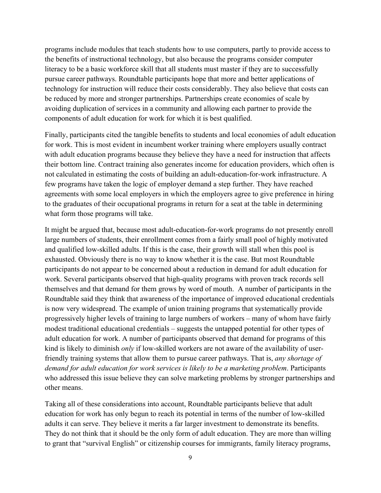programs include modules that teach students how to use computers, partly to provide access to the benefits of instructional technology, but also because the programs consider computer literacy to be a basic workforce skill that all students must master if they are to successfully pursue career pathways. Roundtable participants hope that more and better applications of technology for instruction will reduce their costs considerably. They also believe that costs can be reduced by more and stronger partnerships. Partnerships create economies of scale by avoiding duplication of services in a community and allowing each partner to provide the components of adult education for work for which it is best qualified.

Finally, participants cited the tangible benefits to students and local economies of adult education for work. This is most evident in incumbent worker training where employers usually contract with adult education programs because they believe they have a need for instruction that affects their bottom line. Contract training also generates income for education providers, which often is not calculated in estimating the costs of building an adult-education-for-work infrastructure. A few programs have taken the logic of employer demand a step further. They have reached agreements with some local employers in which the employers agree to give preference in hiring to the graduates of their occupational programs in return for a seat at the table in determining what form those programs will take.

It might be argued that, because most adult-education-for-work programs do not presently enroll large numbers of students, their enrollment comes from a fairly small pool of highly motivated and qualified low-skilled adults. If this is the case, their growth will stall when this pool is exhausted. Obviously there is no way to know whether it is the case. But most Roundtable participants do not appear to be concerned about a reduction in demand for adult education for work. Several participants observed that high-quality programs with proven track records sell themselves and that demand for them grows by word of mouth. A number of participants in the Roundtable said they think that awareness of the importance of improved educational credentials is now very widespread. The example of union training programs that systematically provide progressively higher levels of training to large numbers of workers – many of whom have fairly modest traditional educational credentials – suggests the untapped potential for other types of adult education for work. A number of participants observed that demand for programs of this kind is likely to diminish *only* if low-skilled workers are not aware of the availability of userfriendly training systems that allow them to pursue career pathways. That is, *any shortage of demand for adult education for work services is likely to be a marketing problem*. Participants who addressed this issue believe they can solve marketing problems by stronger partnerships and other means.

Taking all of these considerations into account, Roundtable participants believe that adult education for work has only begun to reach its potential in terms of the number of low-skilled adults it can serve. They believe it merits a far larger investment to demonstrate its benefits. They do not think that it should be the only form of adult education. They are more than willing to grant that "survival English" or citizenship courses for immigrants, family literacy programs,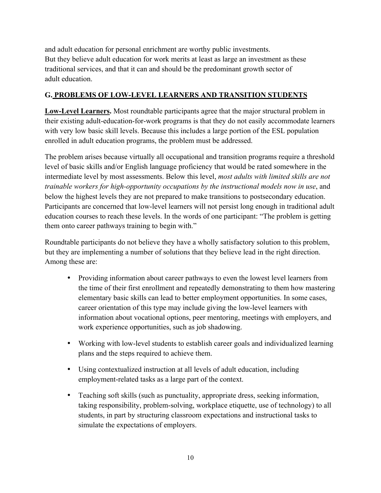and adult education for personal enrichment are worthy public investments. But they believe adult education for work merits at least as large an investment as these traditional services, and that it can and should be the predominant growth sector of adult education.

# **G. PROBLEMS OF LOW-LEVEL LEARNERS AND TRANSITION STUDENTS**

**Low-Level Learners.** Most roundtable participants agree that the major structural problem in their existing adult-education-for-work programs is that they do not easily accommodate learners with very low basic skill levels. Because this includes a large portion of the ESL population enrolled in adult education programs, the problem must be addressed.

The problem arises because virtually all occupational and transition programs require a threshold level of basic skills and/or English language proficiency that would be rated somewhere in the intermediate level by most assessments. Below this level, *most adults with limited skills are not trainable workers for high-opportunity occupations by the instructional models now in use*, and below the highest levels they are not prepared to make transitions to postsecondary education. Participants are concerned that low-level learners will not persist long enough in traditional adult education courses to reach these levels. In the words of one participant: "The problem is getting them onto career pathways training to begin with."

Roundtable participants do not believe they have a wholly satisfactory solution to this problem, but they are implementing a number of solutions that they believe lead in the right direction. Among these are:

- Providing information about career pathways to even the lowest level learners from the time of their first enrollment and repeatedly demonstrating to them how mastering elementary basic skills can lead to better employment opportunities. In some cases, career orientation of this type may include giving the low-level learners with information about vocational options, peer mentoring, meetings with employers, and work experience opportunities, such as job shadowing.
- Working with low-level students to establish career goals and individualized learning plans and the steps required to achieve them.
- Using contextualized instruction at all levels of adult education, including employment-related tasks as a large part of the context.
- Teaching soft skills (such as punctuality, appropriate dress, seeking information, taking responsibility, problem-solving, workplace etiquette, use of technology) to all students, in part by structuring classroom expectations and instructional tasks to simulate the expectations of employers.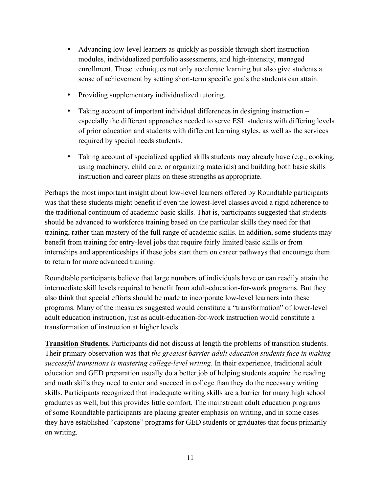- Advancing low-level learners as quickly as possible through short instruction modules, individualized portfolio assessments, and high-intensity, managed enrollment. These techniques not only accelerate learning but also give students a sense of achievement by setting short-term specific goals the students can attain.
- Providing supplementary individualized tutoring.
- Taking account of important individual differences in designing instruction especially the different approaches needed to serve ESL students with differing levels of prior education and students with different learning styles, as well as the services required by special needs students.
- Taking account of specialized applied skills students may already have (e.g., cooking, using machinery, child care, or organizing materials) and building both basic skills instruction and career plans on these strengths as appropriate.

Perhaps the most important insight about low-level learners offered by Roundtable participants was that these students might benefit if even the lowest-level classes avoid a rigid adherence to the traditional continuum of academic basic skills. That is, participants suggested that students should be advanced to workforce training based on the particular skills they need for that training, rather than mastery of the full range of academic skills. In addition, some students may benefit from training for entry-level jobs that require fairly limited basic skills or from internships and apprenticeships if these jobs start them on career pathways that encourage them to return for more advanced training.

Roundtable participants believe that large numbers of individuals have or can readily attain the intermediate skill levels required to benefit from adult-education-for-work programs. But they also think that special efforts should be made to incorporate low-level learners into these programs. Many of the measures suggested would constitute a "transformation" of lower-level adult education instruction, just as adult-education-for-work instruction would constitute a transformation of instruction at higher levels.

**Transition Students.** Participants did not discuss at length the problems of transition students. Their primary observation was that *the greatest barrier adult education students face in making successful transitions is mastering college-level writing*. In their experience, traditional adult education and GED preparation usually do a better job of helping students acquire the reading and math skills they need to enter and succeed in college than they do the necessary writing skills. Participants recognized that inadequate writing skills are a barrier for many high school graduates as well, but this provides little comfort. The mainstream adult education programs of some Roundtable participants are placing greater emphasis on writing, and in some cases they have established "capstone" programs for GED students or graduates that focus primarily on writing.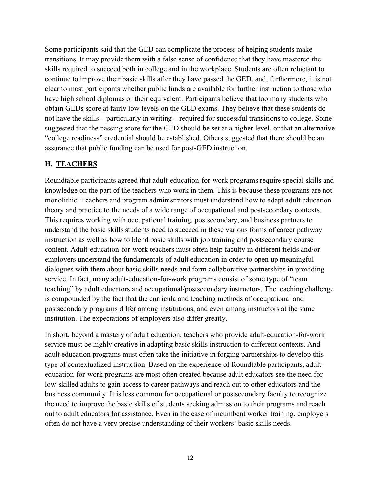Some participants said that the GED can complicate the process of helping students make transitions. It may provide them with a false sense of confidence that they have mastered the skills required to succeed both in college and in the workplace. Students are often reluctant to continue to improve their basic skills after they have passed the GED, and, furthermore, it is not clear to most participants whether public funds are available for further instruction to those who have high school diplomas or their equivalent. Participants believe that too many students who obtain GEDs score at fairly low levels on the GED exams. They believe that these students do not have the skills – particularly in writing – required for successful transitions to college. Some suggested that the passing score for the GED should be set at a higher level, or that an alternative "college readiness" credential should be established. Others suggested that there should be an assurance that public funding can be used for post-GED instruction.

### **H. TEACHERS**

Roundtable participants agreed that adult-education-for-work programs require special skills and knowledge on the part of the teachers who work in them. This is because these programs are not monolithic. Teachers and program administrators must understand how to adapt adult education theory and practice to the needs of a wide range of occupational and postsecondary contexts. This requires working with occupational training, postsecondary, and business partners to understand the basic skills students need to succeed in these various forms of career pathway instruction as well as how to blend basic skills with job training and postsecondary course content. Adult-education-for-work teachers must often help faculty in different fields and/or employers understand the fundamentals of adult education in order to open up meaningful dialogues with them about basic skills needs and form collaborative partnerships in providing service. In fact, many adult-education-for-work programs consist of some type of "team teaching" by adult educators and occupational/postsecondary instructors. The teaching challenge is compounded by the fact that the curricula and teaching methods of occupational and postsecondary programs differ among institutions, and even among instructors at the same institution. The expectations of employers also differ greatly.

In short, beyond a mastery of adult education, teachers who provide adult-education-for-work service must be highly creative in adapting basic skills instruction to different contexts. And adult education programs must often take the initiative in forging partnerships to develop this type of contextualized instruction. Based on the experience of Roundtable participants, adulteducation-for-work programs are most often created because adult educators see the need for low-skilled adults to gain access to career pathways and reach out to other educators and the business community. It is less common for occupational or postsecondary faculty to recognize the need to improve the basic skills of students seeking admission to their programs and reach out to adult educators for assistance. Even in the case of incumbent worker training, employers often do not have a very precise understanding of their workers' basic skills needs.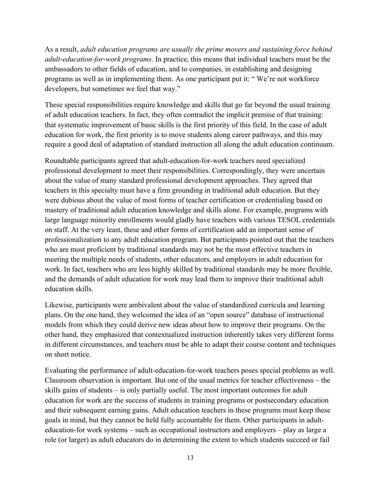As a result, *adult education programs are usually the prime movers and sustaining force behind adult-education-for-work programs*. In practice, this means that individual teachers must be the ambassadors to other fields of education, and to companies, in establishing and designing programs as well as in implementing them. As one participant put it: " We're not workforce developers, but sometimes we feel that way."

These special responsibilities require knowledge and skills that go far beyond the usual training of adult education teachers. In fact, they often contradict the implicit premise of that training: that systematic improvement of basic skills is the first priority of this field. In the case of adult education for work, the first priority is to move students along career pathways, and this may require a good deal of adaptation of standard instruction all along the adult education continuum.

Roundtable participants agreed that adult-education-for-work teachers need specialized professional development to meet their responsibilities. Correspondingly, they were uncertain about the value of many standard professional development approaches. They agreed that teachers in this specialty must have a firm grounding in traditional adult education. But they were dubious about the value of most forms of teacher certification or credentialing based on mastery of traditional adult education knowledge and skills alone. For example, programs with large language minority enrollments would gladly have teachers with various TESOL credentials on staff. At the very least, these and other forms of certification add an important sense of professionalization to any adult education program. But participants pointed out that the teachers who are most proficient by traditional standards may not be the most effective teachers in meeting the multiple needs of students, other educators, and employers in adult education for work. In fact, teachers who are less highly skilled by traditional standards may be more flexible, and the demands of adult education for work may lead them to improve their traditional adult education skills.

Likewise, participants were ambivalent about the value of standardized curricula and learning plans. On the one hand, they welcomed the idea of an "open source" database of instructional models from which they could derive new ideas about how to improve their programs. On the other hand, they emphasized that contextualized instruction inherently takes very different forms in different circumstances, and teachers must be able to adapt their course content and techniques on short notice.

Evaluating the performance of adult-education-for-work teachers poses special problems as well. Classroom observation is important. But one of the usual metrics for teacher effectiveness – the skills gains of students – is only partially useful. The most important outcomes for adult education for work are the success of students in training programs or postsecondary education and their subsequent earning gains. Adult education teachers in these programs must keep these goals in mind, but they cannot be held fully accountable for them. Other participants in adulteducation-for work systems – such as occupational instructors and employers – play as large a role (or larger) as adult educators do in determining the extent to which students succeed or fail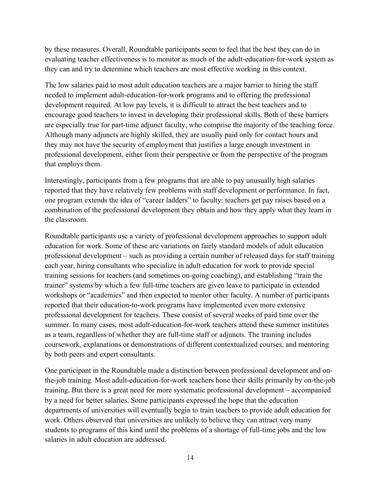by these measures. Overall, Roundtable participants seem to feel that the best they can do in evaluating teacher effectiveness is to monitor as much of the adult-education-for-work system as they can and try to determine which teachers are most effective working in this context.

The low salaries paid to most adult education teachers are a major barrier to hiring the staff needed to implement adult-education-for-work programs and to offering the professional development required. At low pay levels, it is difficult to attract the best teachers and to encourage good teachers to invest in developing their professional skills. Both of these barriers are especially true for part-time adjunct faculty, who comprise the majority of the teaching force. Although many adjuncts are highly skilled, they are usually paid only for contact hours and they may not have the security of employment that justifies a large enough investment in professional development, either from their perspective or from the perspective of the program that employs them.

Interestingly, participants from a few programs that are able to pay unusually high salaries reported that they have relatively few problems with staff development or performance. In fact, one program extends the idea of "career ladders" to faculty: teachers get pay raises based on a combination of the professional development they obtain and how they apply what they learn in the classroom.

Roundtable participants use a variety of professional development approaches to support adult education for work. Some of these are variations on fairly standard models of adult education professional development – such as providing a certain number of released days for staff training each year, hiring consultants who specialize in adult education for work to provide special training sessions for teachers (and sometimes on-going coaching), and establishing "train the trainer" systems by which a few full-time teachers are given leave to participate in extended workshops or "academies" and then expected to mentor other faculty. A number of participants reported that their education-to-work programs have implemented even more extensive professional development for teachers. These consist of several weeks of paid time over the summer. In many cases, most adult-education-for-work teachers attend these summer institutes as a team, regardless of whether they are full-time staff or adjuncts. The training includes coursework, explanations or demonstrations of different contextualized courses, and mentoring by both peers and expert consultants.

One participant in the Roundtable made a distinction between professional development and onthe-job training. Most adult-education-for-work teachers hone their skills primarily by on-the-job training. But there is a great need for more systematic professional development – accompanied by a need for better salaries. Some participants expressed the hope that the education departments of universities will eventually begin to train teachers to provide adult education for work. Others observed that universities are unlikely to believe they can attract very many students to programs of this kind until the problems of a shortage of full-time jobs and the low salaries in adult education are addressed.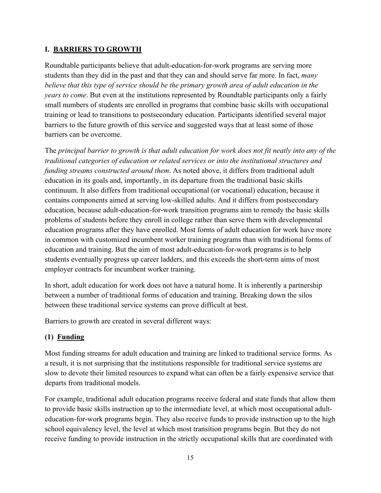### **I. BARRIERS TO GROWTH**

Roundtable participants believe that adult-education-for-work programs are serving more students than they did in the past and that they can and should serve far more. In fact, *many believe that this type of service should be the primary growth area of adult education in the years to come*. But even at the institutions represented by Roundtable participants only a fairly small numbers of students are enrolled in programs that combine basic skills with occupational training or lead to transitions to postsecondary education. Participants identified several major barriers to the future growth of this service and suggested ways that at least some of those barriers can be overcome.

The *principal barrier to growth is that adult education for work does not fit neatly into any of the traditional categories of education or related services or into the institutional structures and funding streams constructed around them*. As noted above, it differs from traditional adult education in its goals and, importantly, in its departure from the traditional basic skills continuum. It also differs from traditional occupational (or vocational) education, because it contains components aimed at serving low-skilled adults. And it differs from postsecondary education, because adult-education-for-work transition programs aim to remedy the basic skills problems of students before they enroll in college rather than serve them with developmental education programs after they have enrolled. Most forms of adult education for work have more in common with customized incumbent worker training programs than with traditional forms of education and training. But the aim of most adult-education-for-work programs is to help students eventually progress up career ladders, and this exceeds the short-term aims of most employer contracts for incumbent worker training.

In short, adult education for work does not have a natural home. It is inherently a partnership between a number of traditional forms of education and training. Breaking down the silos between these traditional service systems can prove difficult at best.

Barriers to growth are created in several different ways:

### **(1) Funding**

Most funding streams for adult education and training are linked to traditional service forms. As a result, it is not surprising that the institutions responsible for traditional service systems are slow to devote their limited resources to expand what can often be a fairly expensive service that departs from traditional models.

For example, traditional adult education programs receive federal and state funds that allow them to provide basic skills instruction up to the intermediate level, at which most occupational adulteducation-for-work programs begin. They also receive funds to provide instruction up to the high school equivalency level, the level at which most transition programs begin. But they do not receive funding to provide instruction in the strictly occupational skills that are coordinated with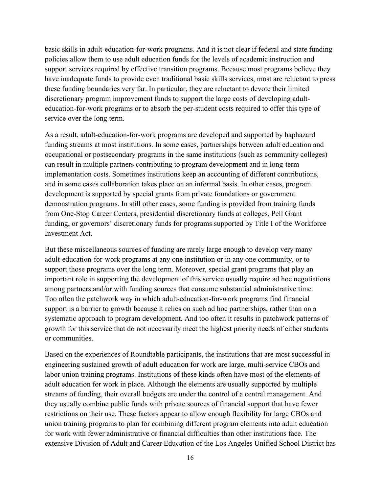basic skills in adult-education-for-work programs. And it is not clear if federal and state funding policies allow them to use adult education funds for the levels of academic instruction and support services required by effective transition programs. Because most programs believe they have inadequate funds to provide even traditional basic skills services, most are reluctant to press these funding boundaries very far. In particular, they are reluctant to devote their limited discretionary program improvement funds to support the large costs of developing adulteducation-for-work programs or to absorb the per-student costs required to offer this type of service over the long term.

As a result, adult-education-for-work programs are developed and supported by haphazard funding streams at most institutions. In some cases, partnerships between adult education and occupational or postsecondary programs in the same institutions (such as community colleges) can result in multiple partners contributing to program development and in long-term implementation costs. Sometimes institutions keep an accounting of different contributions, and in some cases collaboration takes place on an informal basis. In other cases, program development is supported by special grants from private foundations or government demonstration programs. In still other cases, some funding is provided from training funds from One-Stop Career Centers, presidential discretionary funds at colleges, Pell Grant funding, or governors' discretionary funds for programs supported by Title I of the Workforce Investment Act.

But these miscellaneous sources of funding are rarely large enough to develop very many adult-education-for-work programs at any one institution or in any one community, or to support those programs over the long term. Moreover, special grant programs that play an important role in supporting the development of this service usually require ad hoc negotiations among partners and/or with funding sources that consume substantial administrative time. Too often the patchwork way in which adult-education-for-work programs find financial support is a barrier to growth because it relies on such ad hoc partnerships, rather than on a systematic approach to program development. And too often it results in patchwork patterns of growth for this service that do not necessarily meet the highest priority needs of either students or communities.

Based on the experiences of Roundtable participants, the institutions that are most successful in engineering sustained growth of adult education for work are large, multi-service CBOs and labor union training programs. Institutions of these kinds often have most of the elements of adult education for work in place. Although the elements are usually supported by multiple streams of funding, their overall budgets are under the control of a central management. And they usually combine public funds with private sources of financial support that have fewer restrictions on their use. These factors appear to allow enough flexibility for large CBOs and union training programs to plan for combining different program elements into adult education for work with fewer administrative or financial difficulties than other institutions face. The extensive Division of Adult and Career Education of the Los Angeles Unified School District has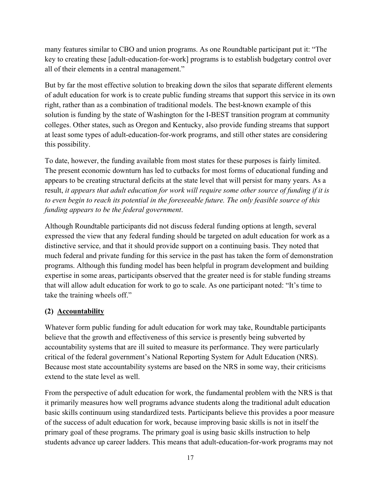many features similar to CBO and union programs. As one Roundtable participant put it: "The key to creating these [adult-education-for-work] programs is to establish budgetary control over all of their elements in a central management."

But by far the most effective solution to breaking down the silos that separate different elements of adult education for work is to create public funding streams that support this service in its own right, rather than as a combination of traditional models. The best-known example of this solution is funding by the state of Washington for the I-BEST transition program at community colleges. Other states, such as Oregon and Kentucky, also provide funding streams that support at least some types of adult-education-for-work programs, and still other states are considering this possibility.

To date, however, the funding available from most states for these purposes is fairly limited. The present economic downturn has led to cutbacks for most forms of educational funding and appears to be creating structural deficits at the state level that will persist for many years. As a result, *it appears that adult education for work will require some other source of funding if it is to even begin to reach its potential in the foreseeable future. The only feasible source of this funding appears to be the federal government*.

Although Roundtable participants did not discuss federal funding options at length, several expressed the view that any federal funding should be targeted on adult education for work as a distinctive service, and that it should provide support on a continuing basis. They noted that much federal and private funding for this service in the past has taken the form of demonstration programs. Although this funding model has been helpful in program development and building expertise in some areas, participants observed that the greater need is for stable funding streams that will allow adult education for work to go to scale. As one participant noted: "It's time to take the training wheels off."

### **(2) Accountability**

Whatever form public funding for adult education for work may take, Roundtable participants believe that the growth and effectiveness of this service is presently being subverted by accountability systems that are ill suited to measure its performance. They were particularly critical of the federal government's National Reporting System for Adult Education (NRS). Because most state accountability systems are based on the NRS in some way, their criticisms extend to the state level as well.

From the perspective of adult education for work, the fundamental problem with the NRS is that it primarily measures how well programs advance students along the traditional adult education basic skills continuum using standardized tests. Participants believe this provides a poor measure of the success of adult education for work, because improving basic skills is not in itself the primary goal of these programs. The primary goal is using basic skills instruction to help students advance up career ladders. This means that adult-education-for-work programs may not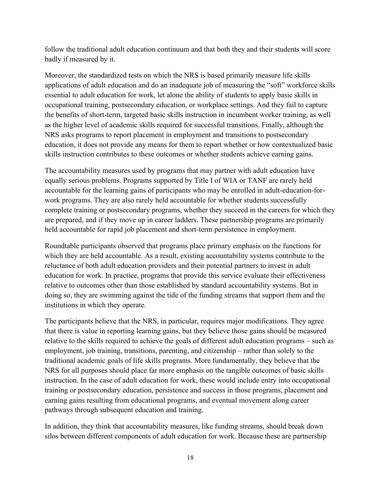follow the traditional adult education continuum and that both they and their students will score badly if measured by it.

Moreover, the standardized tests on which the NRS is based primarily measure life skills applications of adult education and do an inadequate job of measuring the "soft" workforce skills essential to adult education for work, let alone the ability of students to apply basic skills in occupational training, postsecondary education, or workplace settings. And they fail to capture the benefits of short-term, targeted basic skills instruction in incumbent worker training, as well as the higher level of academic skills required for successful transitions. Finally, although the NRS asks programs to report placement in employment and transitions to postsecondary education, it does not provide any means for them to report whether or how contextualized basic skills instruction contributes to these outcomes or whether students achieve earning gains.

The accountability measures used by programs that may partner with adult education have equally serious problems. Programs supported by Title I of WIA or TANF are rarely held accountable for the learning gains of participants who may be enrolled in adult-education-forwork programs. They are also rarely held accountable for whether students successfully complete training or postsecondary programs, whether they succeed in the careers for which they are prepared, and if they move up in career ladders. These partnership programs are primarily held accountable for rapid job placement and short-term persistence in employment.

Roundtable participants observed that programs place primary emphasis on the functions for which they are held accountable. As a result, existing accountability systems contribute to the reluctance of both adult education providers and their potential partners to invest in adult education for work. In practice, programs that provide this service evaluate their effectiveness relative to outcomes other than those established by standard accountability systems. But in doing so, they are swimming against the tide of the funding streams that support them and the institutions in which they operate.

The participants believe that the NRS, in particular, requires major modifications. They agree that there is value in reporting learning gains, but they believe those gains should be measured relative to the skills required to achieve the goals of different adult education programs – such as employment, job training, transitions, parenting, and citizenship – rather than solely to the traditional academic goals of life skills programs. More fundamentally, they believe that the NRS for all purposes should place far more emphasis on the tangible outcomes of basic skills instruction. In the case of adult education for work, these would include entry into occupational training or postsecondary education, persistence and success in those programs, placement and earning gains resulting from educational programs, and eventual movement along career pathways through subsequent education and training.

In addition, they think that accountability measures, like funding streams, should break down silos between different components of adult education for work. Because these are partnership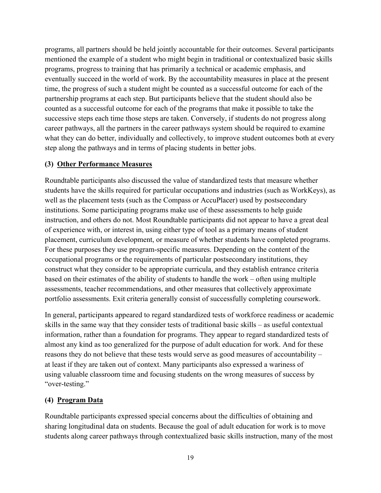programs, all partners should be held jointly accountable for their outcomes. Several participants mentioned the example of a student who might begin in traditional or contextualized basic skills programs, progress to training that has primarily a technical or academic emphasis, and eventually succeed in the world of work. By the accountability measures in place at the present time, the progress of such a student might be counted as a successful outcome for each of the partnership programs at each step. But participants believe that the student should also be counted as a successful outcome for each of the programs that make it possible to take the successive steps each time those steps are taken. Conversely, if students do not progress along career pathways, all the partners in the career pathways system should be required to examine what they can do better, individually and collectively, to improve student outcomes both at every step along the pathways and in terms of placing students in better jobs.

#### **(3) Other Performance Measures**

Roundtable participants also discussed the value of standardized tests that measure whether students have the skills required for particular occupations and industries (such as WorkKeys), as well as the placement tests (such as the Compass or AccuPlacer) used by postsecondary institutions. Some participating programs make use of these assessments to help guide instruction, and others do not. Most Roundtable participants did not appear to have a great deal of experience with, or interest in, using either type of tool as a primary means of student placement, curriculum development, or measure of whether students have completed programs. For these purposes they use program-specific measures. Depending on the content of the occupational programs or the requirements of particular postsecondary institutions, they construct what they consider to be appropriate curricula, and they establish entrance criteria based on their estimates of the ability of students to handle the work – often using multiple assessments, teacher recommendations, and other measures that collectively approximate portfolio assessments. Exit criteria generally consist of successfully completing coursework.

In general, participants appeared to regard standardized tests of workforce readiness or academic skills in the same way that they consider tests of traditional basic skills – as useful contextual information, rather than a foundation for programs. They appear to regard standardized tests of almost any kind as too generalized for the purpose of adult education for work. And for these reasons they do not believe that these tests would serve as good measures of accountability – at least if they are taken out of context. Many participants also expressed a wariness of using valuable classroom time and focusing students on the wrong measures of success by "over-testing."

#### **(4) Program Data**

Roundtable participants expressed special concerns about the difficulties of obtaining and sharing longitudinal data on students. Because the goal of adult education for work is to move students along career pathways through contextualized basic skills instruction, many of the most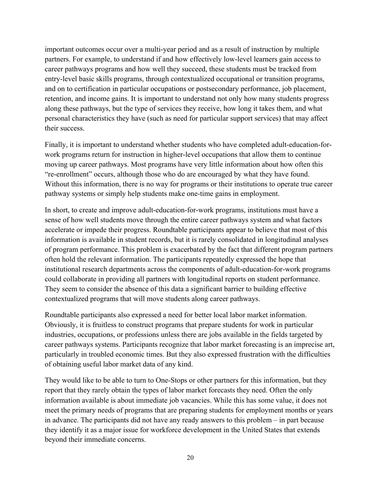important outcomes occur over a multi-year period and as a result of instruction by multiple partners. For example, to understand if and how effectively low-level learners gain access to career pathways programs and how well they succeed, these students must be tracked from entry-level basic skills programs, through contextualized occupational or transition programs, and on to certification in particular occupations or postsecondary performance, job placement, retention, and income gains. It is important to understand not only how many students progress along these pathways, but the type of services they receive, how long it takes them, and what personal characteristics they have (such as need for particular support services) that may affect their success.

Finally, it is important to understand whether students who have completed adult-education-forwork programs return for instruction in higher-level occupations that allow them to continue moving up career pathways. Most programs have very little information about how often this "re-enrollment" occurs, although those who do are encouraged by what they have found. Without this information, there is no way for programs or their institutions to operate true career pathway systems or simply help students make one-time gains in employment.

In short, to create and improve adult-education-for-work programs, institutions must have a sense of how well students move through the entire career pathways system and what factors accelerate or impede their progress. Roundtable participants appear to believe that most of this information is available in student records, but it is rarely consolidated in longitudinal analyses of program performance. This problem is exacerbated by the fact that different program partners often hold the relevant information. The participants repeatedly expressed the hope that institutional research departments across the components of adult-education-for-work programs could collaborate in providing all partners with longitudinal reports on student performance. They seem to consider the absence of this data a significant barrier to building effective contextualized programs that will move students along career pathways.

Roundtable participants also expressed a need for better local labor market information. Obviously, it is fruitless to construct programs that prepare students for work in particular industries, occupations, or professions unless there are jobs available in the fields targeted by career pathways systems. Participants recognize that labor market forecasting is an imprecise art, particularly in troubled economic times. But they also expressed frustration with the difficulties of obtaining useful labor market data of any kind.

They would like to be able to turn to One-Stops or other partners for this information, but they report that they rarely obtain the types of labor market forecasts they need. Often the only information available is about immediate job vacancies. While this has some value, it does not meet the primary needs of programs that are preparing students for employment months or years in advance. The participants did not have any ready answers to this problem – in part because they identify it as a major issue for workforce development in the United States that extends beyond their immediate concerns.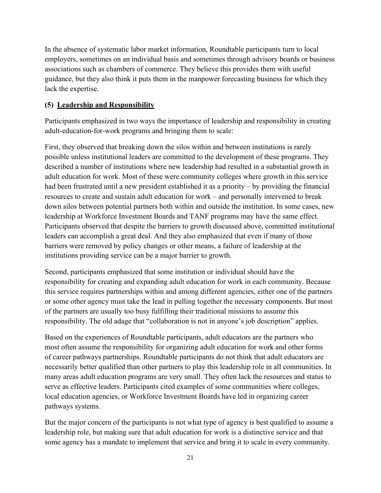In the absence of systematic labor market information, Roundtable participants turn to local employers, sometimes on an individual basis and sometimes through advisory boards or business associations such as chambers of commerce. They believe this provides them with useful guidance, but they also think it puts them in the manpower forecasting business for which they lack the expertise.

#### **(5) Leadership and Responsibility**

Participants emphasized in two ways the importance of leadership and responsibility in creating adult-education-for-work programs and bringing them to scale:

First, they observed that breaking down the silos within and between institutions is rarely possible unless institutional leaders are committed to the development of these programs. They described a number of institutions where new leadership had resulted in a substantial growth in adult education for work. Most of these were community colleges where growth in this service had been frustrated until a new president established it as a priority – by providing the financial resources to create and sustain adult education for work – and personally intervened to break down silos between potential partners both within and outside the institution. In some cases, new leadership at Workforce Investment Boards and TANF programs may have the same effect. Participants observed that despite the barriers to growth discussed above, committed institutional leaders can accomplish a great deal. And they also emphasized that even if many of those barriers were removed by policy changes or other means, a failure of leadership at the institutions providing service can be a major barrier to growth.

Second, participants emphasized that some institution or individual should have the responsibility for creating and expanding adult education for work in each community. Because this service requires partnerships within and among different agencies, either one of the partners or some other agency must take the lead in pulling together the necessary components. But most of the partners are usually too busy fulfilling their traditional missions to assume this responsibility. The old adage that "collaboration is not in anyone's job description" applies.

Based on the experiences of Roundtable participants, adult educators are the partners who most often assume the responsibility for organizing adult education for work and other forms of career pathways partnerships. Roundtable participants do not think that adult educators are necessarily better qualified than other partners to play this leadership role in all communities. In many areas adult education programs are very small. They often lack the resources and status to serve as effective leaders. Participants cited examples of some communities where colleges, local education agencies, or Workforce Investment Boards have led in organizing career pathways systems.

But the major concern of the participants is not what type of agency is best qualified to assume a leadership role, but making sure that adult education for work is a distinctive service and that some agency has a mandate to implement that service and bring it to scale in every community.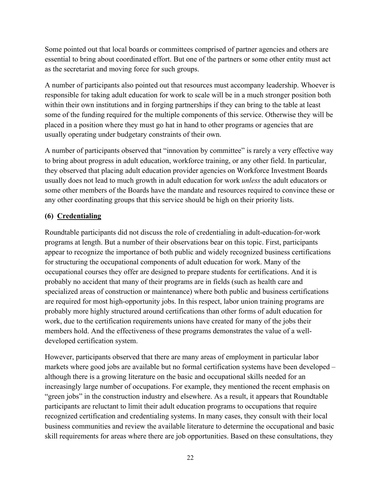Some pointed out that local boards or committees comprised of partner agencies and others are essential to bring about coordinated effort. But one of the partners or some other entity must act as the secretariat and moving force for such groups.

A number of participants also pointed out that resources must accompany leadership. Whoever is responsible for taking adult education for work to scale will be in a much stronger position both within their own institutions and in forging partnerships if they can bring to the table at least some of the funding required for the multiple components of this service. Otherwise they will be placed in a position where they must go hat in hand to other programs or agencies that are usually operating under budgetary constraints of their own.

A number of participants observed that "innovation by committee" is rarely a very effective way to bring about progress in adult education, workforce training, or any other field. In particular, they observed that placing adult education provider agencies on Workforce Investment Boards usually does not lead to much growth in adult education for work *unless* the adult educators or some other members of the Boards have the mandate and resources required to convince these or any other coordinating groups that this service should be high on their priority lists.

#### **(6) Credentialing**

Roundtable participants did not discuss the role of credentialing in adult-education-for-work programs at length. But a number of their observations bear on this topic. First, participants appear to recognize the importance of both public and widely recognized business certifications for structuring the occupational components of adult education for work. Many of the occupational courses they offer are designed to prepare students for certifications. And it is probably no accident that many of their programs are in fields (such as health care and specialized areas of construction or maintenance) where both public and business certifications are required for most high-opportunity jobs. In this respect, labor union training programs are probably more highly structured around certifications than other forms of adult education for work, due to the certification requirements unions have created for many of the jobs their members hold. And the effectiveness of these programs demonstrates the value of a welldeveloped certification system.

However, participants observed that there are many areas of employment in particular labor markets where good jobs are available but no formal certification systems have been developed – although there is a growing literature on the basic and occupational skills needed for an increasingly large number of occupations. For example, they mentioned the recent emphasis on "green jobs" in the construction industry and elsewhere. As a result, it appears that Roundtable participants are reluctant to limit their adult education programs to occupations that require recognized certification and credentialing systems. In many cases, they consult with their local business communities and review the available literature to determine the occupational and basic skill requirements for areas where there are job opportunities. Based on these consultations, they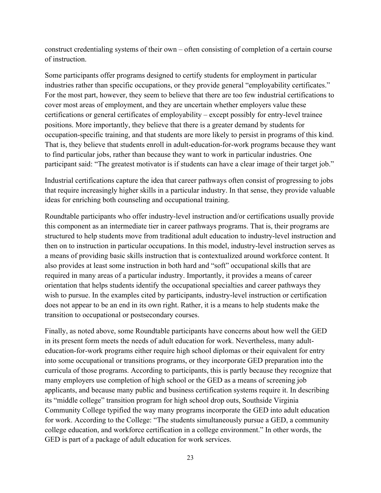construct credentialing systems of their own – often consisting of completion of a certain course of instruction.

Some participants offer programs designed to certify students for employment in particular industries rather than specific occupations, or they provide general "employability certificates." For the most part, however, they seem to believe that there are too few industrial certifications to cover most areas of employment, and they are uncertain whether employers value these certifications or general certificates of employability – except possibly for entry-level trainee positions. More importantly, they believe that there is a greater demand by students for occupation-specific training, and that students are more likely to persist in programs of this kind. That is, they believe that students enroll in adult-education-for-work programs because they want to find particular jobs, rather than because they want to work in particular industries. One participant said: "The greatest motivator is if students can have a clear image of their target job."

Industrial certifications capture the idea that career pathways often consist of progressing to jobs that require increasingly higher skills in a particular industry. In that sense, they provide valuable ideas for enriching both counseling and occupational training.

Roundtable participants who offer industry-level instruction and/or certifications usually provide this component as an intermediate tier in career pathways programs. That is, their programs are structured to help students move from traditional adult education to industry-level instruction and then on to instruction in particular occupations. In this model, industry-level instruction serves as a means of providing basic skills instruction that is contextualized around workforce content. It also provides at least some instruction in both hard and "soft" occupational skills that are required in many areas of a particular industry. Importantly, it provides a means of career orientation that helps students identify the occupational specialties and career pathways they wish to pursue. In the examples cited by participants, industry-level instruction or certification does not appear to be an end in its own right. Rather, it is a means to help students make the transition to occupational or postsecondary courses.

Finally, as noted above, some Roundtable participants have concerns about how well the GED in its present form meets the needs of adult education for work. Nevertheless, many adulteducation-for-work programs either require high school diplomas or their equivalent for entry into some occupational or transitions programs, or they incorporate GED preparation into the curricula of those programs. According to participants, this is partly because they recognize that many employers use completion of high school or the GED as a means of screening job applicants, and because many public and business certification systems require it. In describing its "middle college" transition program for high school drop outs, Southside Virginia Community College typified the way many programs incorporate the GED into adult education for work. According to the College: "The students simultaneously pursue a GED, a community college education, and workforce certification in a college environment." In other words, the GED is part of a package of adult education for work services.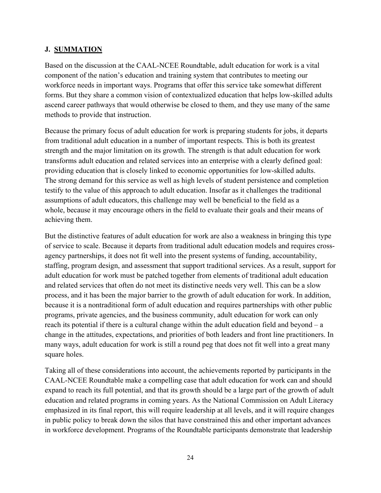#### **J. SUMMATION**

Based on the discussion at the CAAL-NCEE Roundtable, adult education for work is a vital component of the nation's education and training system that contributes to meeting our workforce needs in important ways. Programs that offer this service take somewhat different forms. But they share a common vision of contextualized education that helps low-skilled adults ascend career pathways that would otherwise be closed to them, and they use many of the same methods to provide that instruction.

Because the primary focus of adult education for work is preparing students for jobs, it departs from traditional adult education in a number of important respects. This is both its greatest strength and the major limitation on its growth. The strength is that adult education for work transforms adult education and related services into an enterprise with a clearly defined goal: providing education that is closely linked to economic opportunities for low-skilled adults. The strong demand for this service as well as high levels of student persistence and completion testify to the value of this approach to adult education. Insofar as it challenges the traditional assumptions of adult educators, this challenge may well be beneficial to the field as a whole, because it may encourage others in the field to evaluate their goals and their means of achieving them.

But the distinctive features of adult education for work are also a weakness in bringing this type of service to scale. Because it departs from traditional adult education models and requires crossagency partnerships, it does not fit well into the present systems of funding, accountability, staffing, program design, and assessment that support traditional services. As a result, support for adult education for work must be patched together from elements of traditional adult education and related services that often do not meet its distinctive needs very well. This can be a slow process, and it has been the major barrier to the growth of adult education for work. In addition, because it is a nontraditional form of adult education and requires partnerships with other public programs, private agencies, and the business community, adult education for work can only reach its potential if there is a cultural change within the adult education field and beyond – a change in the attitudes, expectations, and priorities of both leaders and front line practitioners. In many ways, adult education for work is still a round peg that does not fit well into a great many square holes.

Taking all of these considerations into account, the achievements reported by participants in the CAAL-NCEE Roundtable make a compelling case that adult education for work can and should expand to reach its full potential, and that its growth should be a large part of the growth of adult education and related programs in coming years. As the National Commission on Adult Literacy emphasized in its final report, this will require leadership at all levels, and it will require changes in public policy to break down the silos that have constrained this and other important advances in workforce development. Programs of the Roundtable participants demonstrate that leadership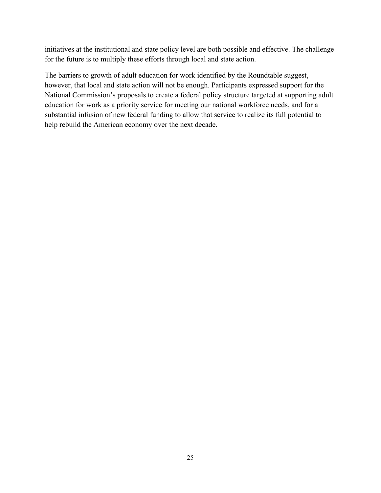initiatives at the institutional and state policy level are both possible and effective. The challenge for the future is to multiply these efforts through local and state action.

The barriers to growth of adult education for work identified by the Roundtable suggest, however, that local and state action will not be enough. Participants expressed support for the National Commission's proposals to create a federal policy structure targeted at supporting adult education for work as a priority service for meeting our national workforce needs, and for a substantial infusion of new federal funding to allow that service to realize its full potential to help rebuild the American economy over the next decade.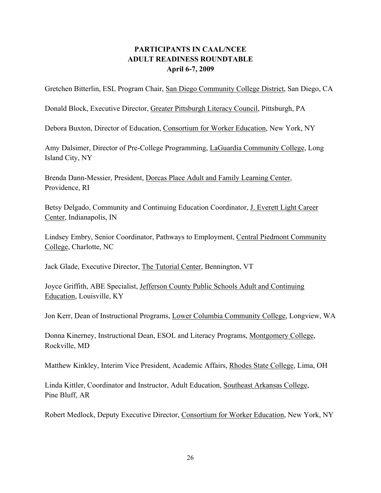# **PARTICIPANTS IN CAAL/NCEE ADULT READINESS ROUNDTABLE April 6-7, 2009**

Gretchen Bitterlin, ESL Program Chair, San Diego Community College District, San Diego, CA

Donald Block, Executive Director, Greater Pittsburgh Literacy Council, Pittsburgh, PA

Debora Buxton, Director of Education, Consortium for Worker Education, New York, NY

Amy Dalsimer, Director of Pre-College Programming, LaGuardia Community College, Long Island City, NY

Brenda Dann-Messier, President, Dorcas Place Adult and Family Learning Center, Providence, RI

Betsy Delgado, Community and Continuing Education Coordinator, J. Everett Light Career Center, Indianapolis, IN

Lindsey Embry, Senior Coordinator, Pathways to Employment, Central Piedmont Community College, Charlotte, NC

Jack Glade, Executive Director, The Tutorial Center, Bennington, VT

Joyce Griffith, ABE Specialist, Jefferson County Public Schools Adult and Continuing Education, Louisville, KY

Jon Kerr, Dean of Instructional Programs, Lower Columbia Community College, Longview, WA

Donna Kinerney, Instructional Dean, ESOL and Literacy Programs, Montgomery College, Rockville, MD

Matthew Kinkley, Interim Vice President, Academic Affairs, Rhodes State College, Lima, OH

Linda Kittler, Coordinator and Instructor, Adult Education, Southeast Arkansas College, Pine Bluff, AR

Robert Medlock, Deputy Executive Director, Consortium for Worker Education, New York, NY